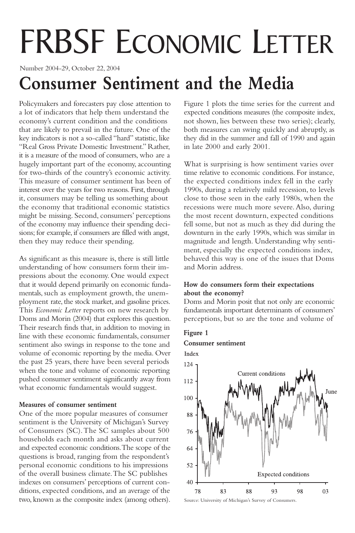# FRBSF ECONOMIC LETTER

Number 2004-29, October 22, 2004

# **Consumer Sentiment and the Media**

Policymakers and forecasters pay close attention to a lot of indicators that help them understand the economy's current condition and the conditions that are likely to prevail in the future. One of the key indicators is not a so-called "hard" statistic, like "Real Gross Private Domestic Investment." Rather, it is a measure of the mood of consumers, who are a hugely important part of the economy, accounting for two-thirds of the country's economic activity. This measure of consumer sentiment has been of interest over the years for two reasons. First, through it, consumers may be telling us something about the economy that traditional economic statistics might be missing. Second, consumers' perceptions of the economy may influence their spending decisions; for example, if consumers are filled with angst, then they may reduce their spending.

As significant as this measure is, there is still little understanding of how consumers form their impressions about the economy. One would expect that it would depend primarily on economic fundamentals, such as employment growth, the unemployment rate, the stock market, and gasoline prices. This *Economic Letter* reports on new research by Doms and Morin (2004) that explores this question. Their research finds that, in addition to moving in line with these economic fundamentals, consumer sentiment also swings in response to the tone and volume of economic reporting by the media. Over the past 25 years, there have been several periods when the tone and volume of economic reporting pushed consumer sentiment significantly away from what economic fundamentals would suggest.

### **Measures of consumer sentiment**

One of the more popular measures of consumer sentiment is the University of Michigan's Survey of Consumers (SC).The SC samples about 500 households each month and asks about current and expected economic conditions.The scope of the questions is broad, ranging from the respondent's personal economic conditions to his impressions of the overall business climate.The SC publishes indexes on consumers' perceptions of current conditions, expected conditions, and an average of the two, known as the composite index (among others).

Figure 1 plots the time series for the current and expected conditions measures (the composite index, not shown, lies between these two series); clearly, both measures can swing quickly and abruptly, as they did in the summer and fall of 1990 and again in late 2000 and early 2001.

What is surprising is how sentiment varies over time relative to economic conditions. For instance, the expected conditions index fell in the early 1990s, during a relatively mild recession, to levels close to those seen in the early 1980s, when the recessions were much more severe. Also, during the most recent downturn, expected conditions fell some, but not as much as they did during the downturn in the early 1990s, which was similar in magnitude and length. Understanding why sentiment, especially the expected conditions index, behaved this way is one of the issues that Doms and Morin address.

# **How do consumers form their expectations about the economy?**

Doms and Morin posit that not only are economic fundamentals important determinants of consumers' perceptions, but so are the tone and volume of

# **Figure 1**

**Consumer sentiment**



Source: University of Michigan's Survey of Consumers.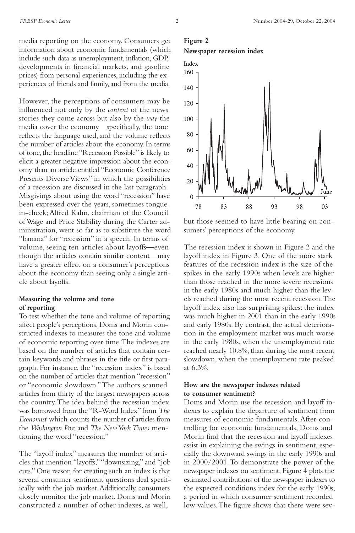media reporting on the economy. Consumers get information about economic fundamentals (which include such data as unemployment, inflation, GDP, developments in financial markets, and gasoline prices) from personal experiences, including the experiences of friends and family, and from the media.

However, the perceptions of consumers may be influenced not only by the *content* of the news stories they come across but also by the *way* the media cover the economy—specifically, the tone reflects the language used, and the volume reflects the number of articles about the economy. In terms of tone, the headline "Recession Possible" is likely to elicit a greater negative impression about the economy than an article entitled "Economic Conference Presents Diverse Views" in which the possibilities of a recession are discussed in the last paragraph. Misgivings about using the word "recession" have been expressed over the years, sometimes tonguein-cheek;Alfred Kahn, chairman of the Council of Wage and Price Stability during the Carter administration, went so far as to substitute the word "banana" for "recession" in a speech. In terms of volume, seeing ten articles about layoffs—even though the articles contain similar content—may have a greater effect on a consumer's perceptions about the economy than seeing only a single article about layoffs.

#### **Measuring the volume and tone of reporting**

To test whether the tone and volume of reporting affect people's perceptions, Doms and Morin constructed indexes to measures the tone and volume of economic reporting over time.The indexes are based on the number of articles that contain certain keywords and phrases in the title or first paragraph. For instance, the "recession index" is based on the number of articles that mention "recession" or "economic slowdown."The authors scanned articles from thirty of the largest newspapers across the country.The idea behind the recession index was borrowed from the "R-Word Index" from *The Economist* which counts the number of articles from the *Washington Pos*t and *The New York Times* mentioning the word "recession."

The "layoff index" measures the number of articles that mention "layoffs,""downsizing," and "job cuts." One reason for creating such an index is that several consumer sentiment questions deal specifically with the job market.Additionally, consumers closely monitor the job market. Doms and Morin constructed a number of other indexes, as well,

## **Figure 2 Newspaper recession index**



but those seemed to have little bearing on consumers' perceptions of the economy.

The recession index is shown in Figure 2 and the layoff index in Figure 3. One of the more stark features of the recession index is the size of the spikes in the early 1990s when levels are higher than those reached in the more severe recessions in the early 1980s and much higher than the levels reached during the most recent recession.The layoff index also has surprising spikes: the index was much higher in 2001 than in the early 1990s and early 1980s. By contrast, the actual deterioration in the employment market was much worse in the early 1980s, when the unemployment rate reached nearly 10.8%, than during the most recent slowdown, when the unemployment rate peaked at 6.3%.

#### **How are the newspaper indexes related to consumer sentiment?**

Doms and Morin use the recession and layoff indexes to explain the departure of sentiment from measures of economic fundamentals. After controlling for economic fundamentals, Doms and Morin find that the recession and layoff indexes assist in explaining the swings in sentiment, especially the downward swings in the early 1990s and in 2000/2001.To demonstrate the power of the newspaper indexes on sentiment, Figure 4 plots the estimated contributions of the newspaper indexes to the expected conditions index for the early 1990s, a period in which consumer sentiment recorded low values.The figure shows that there were sev-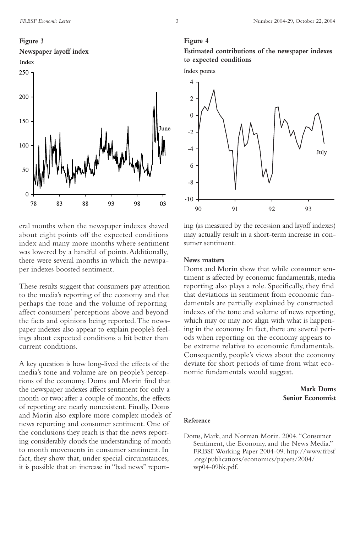

eral months when the newspaper indexes shaved about eight points off the expected conditions index and many more months where sentiment was lowered by a handful of points.Additionally, there were several months in which the newspaper indexes boosted sentiment.

These results suggest that consumers pay attention to the media's reporting of the economy and that perhaps the tone and the volume of reporting affect consumers' perceptions above and beyond the facts and opinions being reported.The newspaper indexes also appear to explain people's feelings about expected conditions a bit better than current conditions.

A key question is how long-lived the effects of the media's tone and volume are on people's perceptions of the economy. Doms and Morin find that the newspaper indexes affect sentiment for only a month or two; after a couple of months, the effects of reporting are nearly nonexistent. Finally, Doms and Morin also explore more complex models of news reporting and consumer sentiment. One of the conclusions they reach is that the news reporting considerably clouds the understanding of month to month movements in consumer sentiment. In fact, they show that, under special circumstances, it is possible that an increase in "bad news" report-

#### **Figure 4**

# **Estimated contributions of the newspaper indexes to expected conditions**



ing (as measured by the recession and layoff indexes) may actually result in a short-term increase in consumer sentiment.

#### **News matters**

Doms and Morin show that while consumer sentiment is affected by economic fundamentals, media reporting also plays a role. Specifically, they find that deviations in sentiment from economic fundamentals are partially explained by constructed indexes of the tone and volume of news reporting, which may or may not align with what is happening in the economy. In fact, there are several periods when reporting on the economy appears to be extreme relative to economic fundamentals. Consequently, people's views about the economy deviate for short periods of time from what economic fundamentals would suggest.

> **Mark Doms Senior Economist**

#### **Reference**

Doms, Mark, and Norman Morin. 2004."Consumer Sentiment, the Economy, and the News Media." FRBSF Working Paper 2004-09. http://www.frbsf .org/publications/economics/papers/2004/ wp04-09bk.pdf.